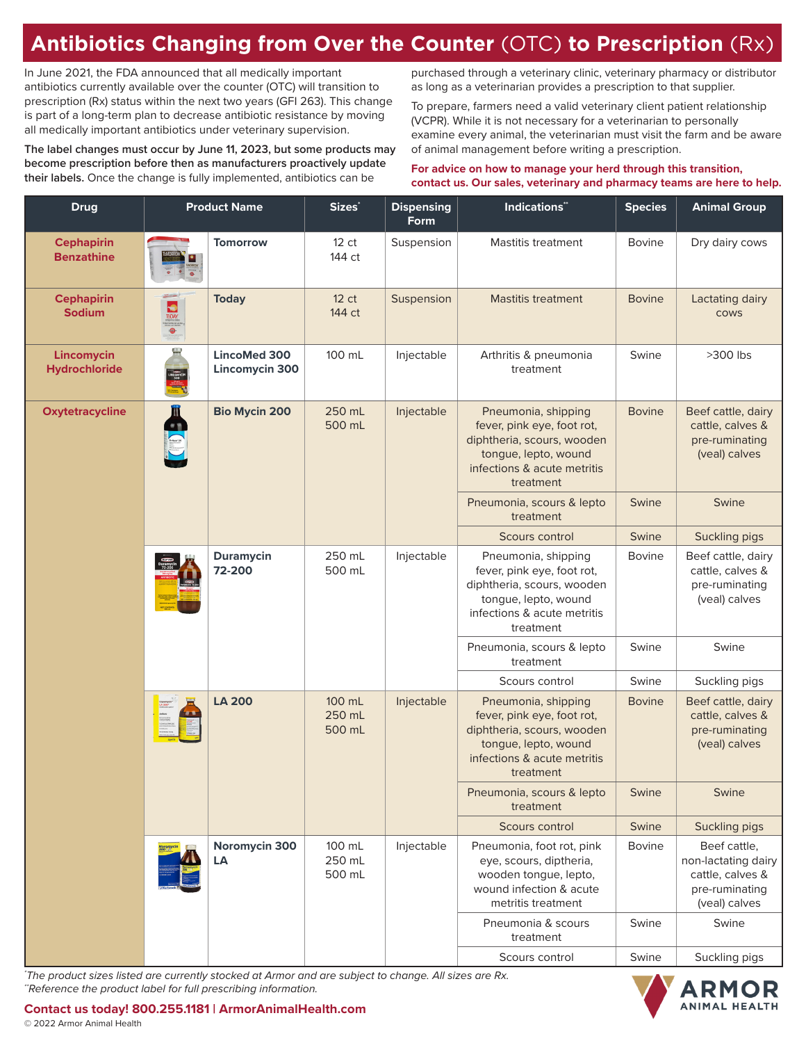## **Antibiotics Changing from Over the Counter** (OTC) **to Prescription** (Rx)

In June 2021, the FDA announced that all medically important antibiotics currently available over the counter (OTC) will transition to prescription (Rx) status within the next two years (GFI 263). This change is part of a long-term plan to decrease antibiotic resistance by moving all medically important antibiotics under veterinary supervision.

**The label changes must occur by June 11, 2023, but some products may become prescription before then as manufacturers proactively update their labels.** Once the change is fully implemented, antibiotics can be

purchased through a veterinary clinic, veterinary pharmacy or distributor as long as a veterinarian provides a prescription to that supplier.

To prepare, farmers need a valid veterinary client patient relationship (VCPR). While it is not necessary for a veterinarian to personally examine every animal, the veterinarian must visit the farm and be aware of animal management before writing a prescription.

## **For advice on how to manage your herd through this transition, contact us. Our sales, veterinary and pharmacy teams are here to help.**

| <b>Drug</b>                            | <b>Product Name</b> |                                | Sizes <sup>*</sup>         | <b>Dispensing</b><br>Form | <b>Indications"</b>                                                                                                                                 | <b>Species</b> | <b>Animal Group</b>                                                                        |
|----------------------------------------|---------------------|--------------------------------|----------------------------|---------------------------|-----------------------------------------------------------------------------------------------------------------------------------------------------|----------------|--------------------------------------------------------------------------------------------|
| <b>Cephapirin</b><br><b>Benzathine</b> |                     | <b>Tomorrow</b>                | 12 <sub>ct</sub><br>144 ct | Suspension                | <b>Mastitis treatment</b>                                                                                                                           | <b>Bovine</b>  | Dry dairy cows                                                                             |
| <b>Cephapirin</b><br><b>Sodium</b>     | <b>NO</b>           | <b>Today</b>                   | 12 ct<br>144 ct            | Suspension                | <b>Mastitis treatment</b>                                                                                                                           | <b>Bovine</b>  | Lactating dairy<br><b>COWS</b>                                                             |
| Lincomycin<br><b>Hydrochloride</b>     |                     | LincoMed 300<br>Lincomycin 300 | 100 mL                     | Injectable                | Arthritis & pneumonia<br>treatment                                                                                                                  | Swine          | $>300$ lbs                                                                                 |
| <b>Oxytetracycline</b>                 | E CD                | <b>Bio Mycin 200</b>           | 250 mL<br>500 mL           | Injectable                | Pneumonia, shipping<br>fever, pink eye, foot rot,<br>diphtheria, scours, wooden<br>tongue, lepto, wound<br>infections & acute metritis<br>treatment | <b>Bovine</b>  | Beef cattle, dairy<br>cattle, calves &<br>pre-ruminating<br>(veal) calves                  |
|                                        |                     |                                |                            |                           | Pneumonia, scours & lepto<br>treatment                                                                                                              | Swine          | Swine                                                                                      |
|                                        |                     |                                |                            |                           | Scours control                                                                                                                                      | Swine          | Suckling pigs                                                                              |
|                                        |                     | <b>Duramycin</b><br>72-200     | 250 mL<br>500 mL           | Injectable                | Pneumonia, shipping<br>fever, pink eye, foot rot,<br>diphtheria, scours, wooden<br>tongue, lepto, wound<br>infections & acute metritis<br>treatment | <b>Bovine</b>  | Beef cattle, dairy<br>cattle, calves &<br>pre-ruminating<br>(veal) calves                  |
|                                        |                     |                                |                            |                           | Pneumonia, scours & lepto<br>treatment                                                                                                              | Swine          | Swine                                                                                      |
|                                        |                     |                                |                            |                           | Scours control                                                                                                                                      | Swine          | Suckling pigs                                                                              |
|                                        |                     | <b>LA 200</b>                  | 100 mL<br>250 mL<br>500 mL | Injectable                | Pneumonia, shipping<br>fever, pink eye, foot rot,<br>diphtheria, scours, wooden<br>tongue, lepto, wound<br>infections & acute metritis<br>treatment | <b>Bovine</b>  | Beef cattle, dairy<br>cattle, calves &<br>pre-ruminating<br>(veal) calves                  |
|                                        |                     |                                |                            |                           | Pneumonia, scours & lepto<br>treatment                                                                                                              | Swine          | Swine                                                                                      |
|                                        |                     |                                |                            |                           | Scours control                                                                                                                                      | Swine          | Suckling pigs                                                                              |
|                                        |                     | Noromycin 300<br>LA            | 100 mL<br>250 mL<br>500 mL | Injectable                | Pneumonia, foot rot, pink<br>eye, scours, diptheria,<br>wooden tongue, lepto,<br>wound infection & acute<br>metritis treatment                      | <b>Bovine</b>  | Beef cattle,<br>non-lactating dairy<br>cattle, calves &<br>pre-ruminating<br>(veal) calves |
|                                        |                     |                                |                            |                           | Pneumonia & scours<br>treatment                                                                                                                     | Swine          | Swine                                                                                      |
|                                        |                     |                                |                            |                           | Scours control                                                                                                                                      | Swine          | Suckling pigs                                                                              |

*\* The product sizes listed are currently stocked at Armor and are subject to change. All sizes are Rx. \*\*Reference the product label for full prescribing information.*